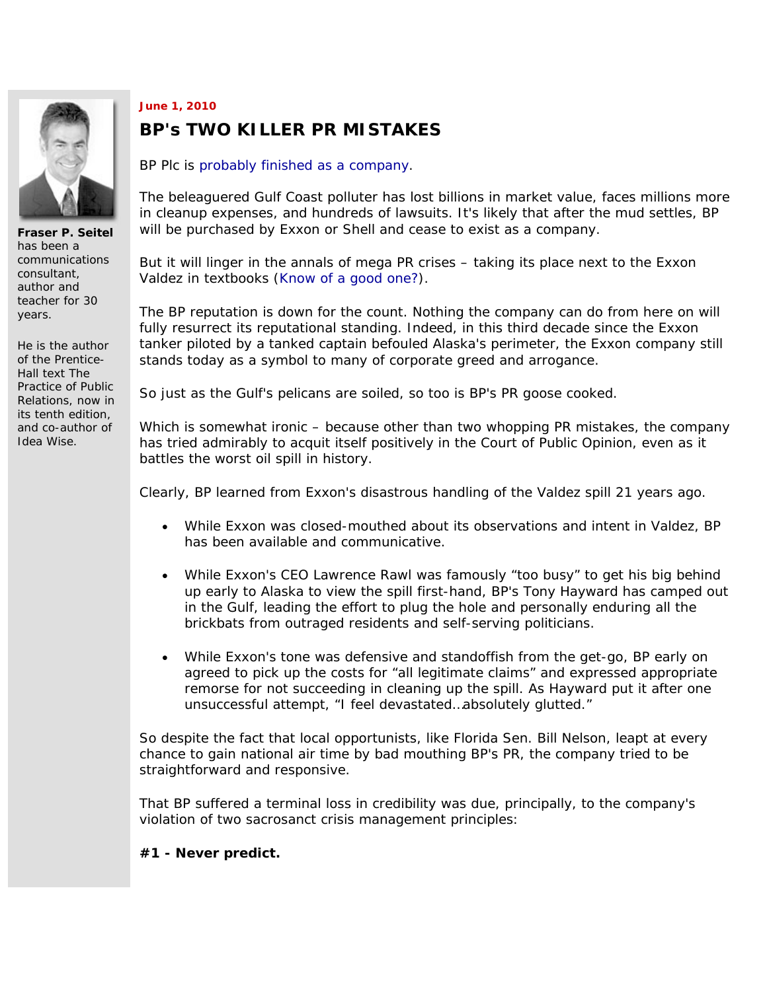

**Fraser P. Seitel** has been a communications consultant, author and teacher for 30 years.

He is the author of the Prentice-Hall text *The Practice of Public Relations*, now in its tenth edition, and co-author of *Idea Wise.*

## **June 1, 2010**

## **BP's TWO KILLER PR MISTAKES**

BP Plc is probably finished as a company.

The beleaguered Gulf Coast polluter has lost billions in market value, faces millions more in cleanup expenses, and hundreds of lawsuits. It's likely that after the mud settles, BP will be purchased by Exxon or Shell and cease to exist as a company.

But it will linger in the annals of mega PR crises – taking its place next to the Exxon Valdez in textbooks (Know of a good one?).

The BP reputation is down for the count. Nothing the company can do from here on will fully resurrect its reputational standing. Indeed, in this third decade since the Exxon tanker piloted by a tanked captain befouled Alaska's perimeter, the Exxon company still stands today as a symbol to many of corporate greed and arrogance.

So just as the Gulf's pelicans are soiled, so too is BP's PR goose cooked.

Which is somewhat ironic – because other than two whopping PR mistakes, the company has tried admirably to acquit itself positively in the Court of Public Opinion, even as it battles the worst oil spill in history.

Clearly, BP learned from Exxon's disastrous handling of the Valdez spill 21 years ago.

- While Exxon was closed-mouthed about its observations and intent in Valdez, BP has been available and communicative.
- While Exxon's CEO Lawrence Rawl was famously "too busy" to get his big behind up early to Alaska to view the spill first-hand, BP's Tony Hayward has camped out in the Gulf, leading the effort to plug the hole and personally enduring all the brickbats from outraged residents and self-serving politicians.
- While Exxon's tone was defensive and standoffish from the get-go, BP early on agreed to pick up the costs for "all legitimate claims" and expressed appropriate remorse for not succeeding in cleaning up the spill. As Hayward put it after one unsuccessful attempt, "I feel devastated…absolutely glutted."

So despite the fact that local opportunists, like Florida Sen. Bill Nelson, leapt at every chance to gain national air time by bad mouthing BP's PR, the company tried to be straightforward and responsive.

That BP suffered a terminal loss in credibility was due, principally, to the company's violation of two sacrosanct crisis management principles:

**#1 - Never predict.**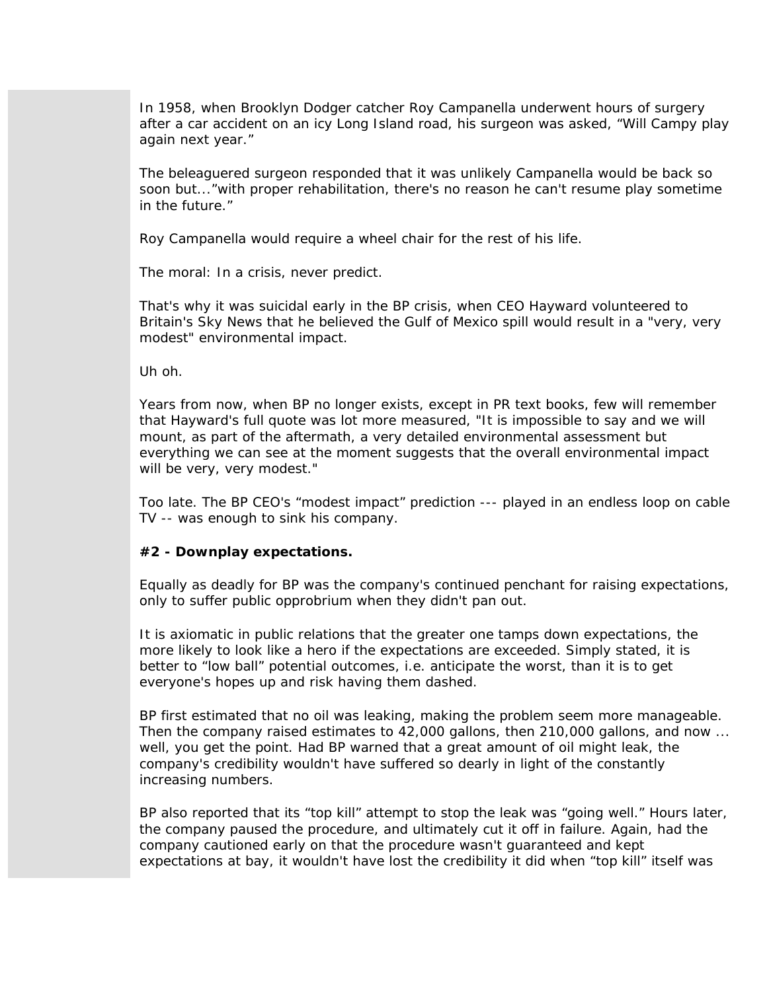In 1958, when Brooklyn Dodger catcher Roy Campanella underwent hours of surgery after a car accident on an icy Long Island road, his surgeon was asked, "Will Campy play again next year."

The beleaguered surgeon responded that it was unlikely Campanella would be back so soon but..."with proper rehabilitation, there's no reason he can't resume play sometime in the future."

Roy Campanella would require a wheel chair for the rest of his life.

The moral: In a crisis, never predict.

That's why it was suicidal early in the BP crisis, when CEO Hayward volunteered to Britain's Sky News that he believed the Gulf of Mexico spill would result in a "very, very modest" environmental impact.

Uh oh.

Years from now, when BP no longer exists, except in PR text books, few will remember that Hayward's full quote was lot more measured, "It is impossible to say and we will mount, as part of the aftermath, a very detailed environmental assessment but everything we can see at the moment suggests that the overall environmental impact will be very, very modest."

Too late. The BP CEO's "modest impact" prediction --- played in an endless loop on cable TV -- was enough to sink his company.

## **#2 - Downplay expectations.**

Equally as deadly for BP was the company's continued penchant for raising expectations, only to suffer public opprobrium when they didn't pan out.

It is axiomatic in public relations that the greater one tamps down expectations, the more likely to look like a hero if the expectations are exceeded. Simply stated, it is better to "low ball" potential outcomes, i.e. anticipate the worst, than it is to get everyone's hopes up and risk having them dashed.

BP first estimated that no oil was leaking, making the problem seem more manageable. Then the company raised estimates to 42,000 gallons, then 210,000 gallons, and now ... well, you get the point. Had BP warned that a great amount of oil might leak, the company's credibility wouldn't have suffered so dearly in light of the constantly increasing numbers.

BP also reported that its "top kill" attempt to stop the leak was "going well." Hours later, the company paused the procedure, and ultimately cut it off in failure. Again, had the company cautioned early on that the procedure wasn't guaranteed and kept expectations at bay, it wouldn't have lost the credibility it did when "top kill" itself was